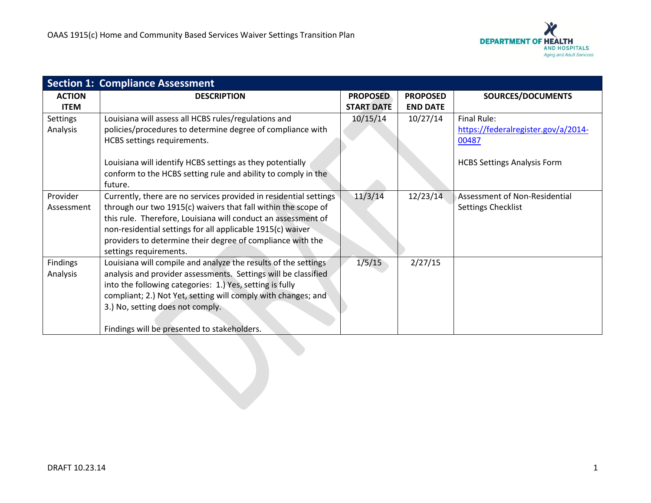

|                 | <b>Section 1: Compliance Assessment</b>                                                                                  |                   |                 |                                     |
|-----------------|--------------------------------------------------------------------------------------------------------------------------|-------------------|-----------------|-------------------------------------|
| <b>ACTION</b>   | <b>DESCRIPTION</b>                                                                                                       | <b>PROPOSED</b>   | <b>PROPOSED</b> | SOURCES/DOCUMENTS                   |
| <b>ITEM</b>     |                                                                                                                          | <b>START DATE</b> | <b>END DATE</b> |                                     |
| <b>Settings</b> | Louisiana will assess all HCBS rules/regulations and                                                                     | 10/15/14          | 10/27/14        | Final Rule:                         |
| Analysis        | policies/procedures to determine degree of compliance with                                                               |                   |                 | https://federalregister.gov/a/2014- |
|                 | HCBS settings requirements.                                                                                              |                   |                 | 00487                               |
|                 |                                                                                                                          |                   |                 |                                     |
|                 | Louisiana will identify HCBS settings as they potentially                                                                |                   |                 | <b>HCBS Settings Analysis Form</b>  |
|                 | conform to the HCBS setting rule and ability to comply in the                                                            |                   |                 |                                     |
|                 | future.                                                                                                                  |                   |                 |                                     |
| Provider        | Currently, there are no services provided in residential settings                                                        | 11/3/14           | 12/23/14        | Assessment of Non-Residential       |
| Assessment      | through our two 1915(c) waivers that fall within the scope of                                                            |                   |                 | Settings Checklist                  |
|                 | this rule. Therefore, Louisiana will conduct an assessment of                                                            |                   |                 |                                     |
|                 | non-residential settings for all applicable 1915(c) waiver<br>providers to determine their degree of compliance with the |                   |                 |                                     |
|                 | settings requirements.                                                                                                   |                   |                 |                                     |
| Findings        | Louisiana will compile and analyze the results of the settings                                                           | 1/5/15            | 2/27/15         |                                     |
| Analysis        | analysis and provider assessments. Settings will be classified                                                           |                   |                 |                                     |
|                 | into the following categories: 1.) Yes, setting is fully                                                                 |                   |                 |                                     |
|                 | compliant; 2.) Not Yet, setting will comply with changes; and                                                            |                   |                 |                                     |
|                 | 3.) No, setting does not comply.                                                                                         |                   |                 |                                     |
|                 |                                                                                                                          |                   |                 |                                     |
|                 | Findings will be presented to stakeholders.                                                                              |                   |                 |                                     |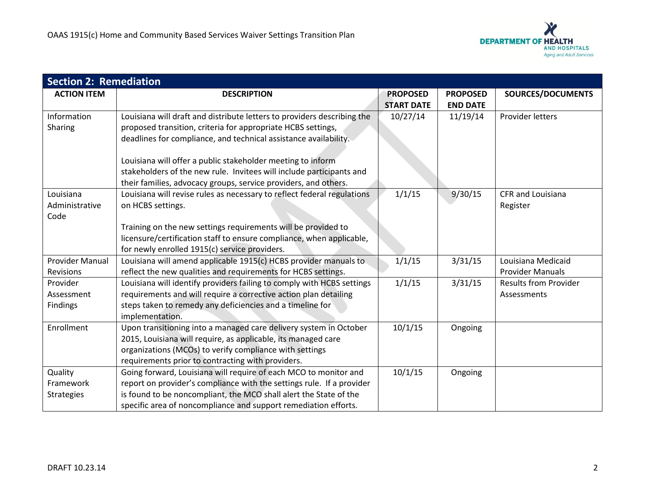

| <b>Section 2: Remediation</b> |                                                                         |                   |                 |                              |  |  |
|-------------------------------|-------------------------------------------------------------------------|-------------------|-----------------|------------------------------|--|--|
| <b>ACTION ITEM</b>            | <b>DESCRIPTION</b>                                                      | <b>PROPOSED</b>   | <b>PROPOSED</b> | SOURCES/DOCUMENTS            |  |  |
|                               |                                                                         | <b>START DATE</b> | <b>END DATE</b> |                              |  |  |
| Information                   | Louisiana will draft and distribute letters to providers describing the | 10/27/14          | 11/19/14        | Provider letters             |  |  |
| Sharing                       | proposed transition, criteria for appropriate HCBS settings,            |                   |                 |                              |  |  |
|                               | deadlines for compliance, and technical assistance availability.        |                   |                 |                              |  |  |
|                               |                                                                         |                   |                 |                              |  |  |
|                               | Louisiana will offer a public stakeholder meeting to inform             |                   |                 |                              |  |  |
|                               | stakeholders of the new rule. Invitees will include participants and    |                   |                 |                              |  |  |
|                               | their families, advocacy groups, service providers, and others.         |                   |                 |                              |  |  |
| Louisiana                     | Louisiana will revise rules as necessary to reflect federal regulations | 1/1/15            | 9/30/15         | <b>CFR and Louisiana</b>     |  |  |
| Administrative                | on HCBS settings.                                                       |                   |                 | Register                     |  |  |
| Code                          |                                                                         |                   |                 |                              |  |  |
|                               | Training on the new settings requirements will be provided to           |                   |                 |                              |  |  |
|                               | licensure/certification staff to ensure compliance, when applicable,    |                   |                 |                              |  |  |
|                               | for newly enrolled 1915(c) service providers.                           |                   |                 |                              |  |  |
| <b>Provider Manual</b>        | Louisiana will amend applicable 1915(c) HCBS provider manuals to        | 1/1/15            | 3/31/15         | Louisiana Medicaid           |  |  |
| Revisions                     | reflect the new qualities and requirements for HCBS settings.           |                   |                 | <b>Provider Manuals</b>      |  |  |
| Provider                      | Louisiana will identify providers failing to comply with HCBS settings  | 1/1/15            | 3/31/15         | <b>Results from Provider</b> |  |  |
| Assessment                    | requirements and will require a corrective action plan detailing        |                   |                 | Assessments                  |  |  |
| <b>Findings</b>               | steps taken to remedy any deficiencies and a timeline for               |                   |                 |                              |  |  |
|                               | implementation.                                                         |                   |                 |                              |  |  |
| Enrollment                    | Upon transitioning into a managed care delivery system in October       | 10/1/15           | Ongoing         |                              |  |  |
|                               | 2015, Louisiana will require, as applicable, its managed care           |                   |                 |                              |  |  |
|                               | organizations (MCOs) to verify compliance with settings                 |                   |                 |                              |  |  |
|                               | requirements prior to contracting with providers.                       |                   |                 |                              |  |  |
| Quality                       | Going forward, Louisiana will require of each MCO to monitor and        | 10/1/15           | Ongoing         |                              |  |  |
| Framework                     | report on provider's compliance with the settings rule. If a provider   |                   |                 |                              |  |  |
| <b>Strategies</b>             | is found to be noncompliant, the MCO shall alert the State of the       |                   |                 |                              |  |  |
|                               | specific area of noncompliance and support remediation efforts.         |                   |                 |                              |  |  |